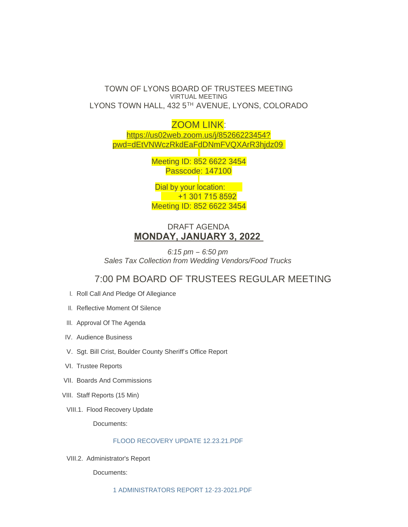### TOWN OF LYONS BOARD OF TRUSTEES MEETING VIRTUAL MEETING LYONS TOWN HALL, 432 5TH AVENUE, LYONS, COLORADO

ZOOM LINK: https://us02web.zoom.us/j/85266223454? pw[d=dEtVNWczRkdEaFdDNmFVQXArR3hjdz09](https://us02web.zoom.us/j/85266223454?pwd=dEtVNWczRkdEaFdDNmFVQXArR3hjdz09)

> Meeting ID: 852 6622 3454 Passcode: 147100

> Dial by your location: +1 301 715 8592 Meeting ID: 852 6622 3454

## DRAFT AGENDA **MONDAY, JANUARY 3, 2022**

*6:15 pm – 6:50 pm Sales Tax Collection from Wedding Vendors/Food Trucks*

# 7:00 PM BOARD OF TRUSTEES REGULAR MEETING

- I. Roll Call And Pledge Of Allegiance
- II. Reflective Moment Of Silence
- III. Approval Of The Agenda
- IV. Audience Business
- V. Sgt. Bill Crist, Boulder County Sheriff's Office Report
- VI. Trustee Reports
- VII. Boards And Commissions
- VIII. Staff Reports (15 Min)
- VIII.1. Flood Recovery Update

Documents:

#### [FLOOD RECOVERY UPDATE 12.23.21.PDF](https://www.townoflyons.com/AgendaCenter/ViewFile/Item/9641?fileID=19802)

VIII.2. Administrator's Report

Documents: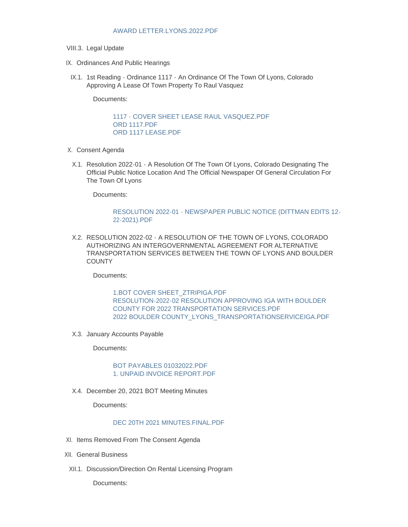- VIII.3. Legal Update
- IX. Ordinances And Public Hearings
- IX.1. 1st Reading Ordinance 1117 An Ordinance Of The Town Of Lyons, Colorado Approving A Lease Of Town Property To Raul Vasquez

Documents:

[1117 - COVER SHEET LEASE RAUL VASQUEZ.PDF](https://www.townoflyons.com/AgendaCenter/ViewFile/Item/9644?fileID=19814) [ORD 1117.PDF](https://www.townoflyons.com/AgendaCenter/ViewFile/Item/9644?fileID=19812) [ORD 1117 LEASE.PDF](https://www.townoflyons.com/AgendaCenter/ViewFile/Item/9644?fileID=19811)

- X. Consent Agenda
	- X.1. Resolution 2022-01 A Resolution Of The Town Of Lyons, Colorado Designating The Official Public Notice Location And The Official Newspaper Of General Circulation For The Town Of Lyons

Documents:

#### [RESOLUTION 2022-01 - NEWSPAPER PUBLIC NOTICE \(DITTMAN EDITS 12-](https://www.townoflyons.com/AgendaCenter/ViewFile/Item/9645?fileID=19793) 22-2021).PDF

RESOLUTION 2022-02 - A RESOLUTION OF THE TOWN OF LYONS, COLORADO X.2. AUTHORIZING AN INTERGOVERNMENTAL AGREEMENT FOR ALTERNATIVE TRANSPORTATION SERVICES BETWEEN THE TOWN OF LYONS AND BOULDER **COUNTY** 

Documents:

[1.BOT COVER SHEET\\_ZTRIPIGA.PDF](https://www.townoflyons.com/AgendaCenter/ViewFile/Item/9646?fileID=19815) [RESOLUTION-2022-02 RESOLUTION APPROVING IGA WITH BOULDER](https://www.townoflyons.com/AgendaCenter/ViewFile/Item/9646?fileID=19795)  COUNTY FOR 2022 TRANSPORTATION SERVICES.PDF [2022 BOULDER COUNTY\\_LYONS\\_TRANSPORTATIONSERVICEIGA.PDF](https://www.townoflyons.com/AgendaCenter/ViewFile/Item/9646?fileID=19794)

X.3. January Accounts Payable

Documents:

#### [BOT PAYABLES 01032022.PDF](https://www.townoflyons.com/AgendaCenter/ViewFile/Item/9647?fileID=19798) [1. UNPAID INVOICE REPORT.PDF](https://www.townoflyons.com/AgendaCenter/ViewFile/Item/9647?fileID=19797)

X.4. December 20, 2021 BOT Meeting Minutes

Documents:

#### DEC 20TH 2021 MINUTES FINAL PDF

- XI. Items Removed From The Consent Agenda
- XII. General Business
- XII.1. Discussion/Direction On Rental Licensing Program

Documents: